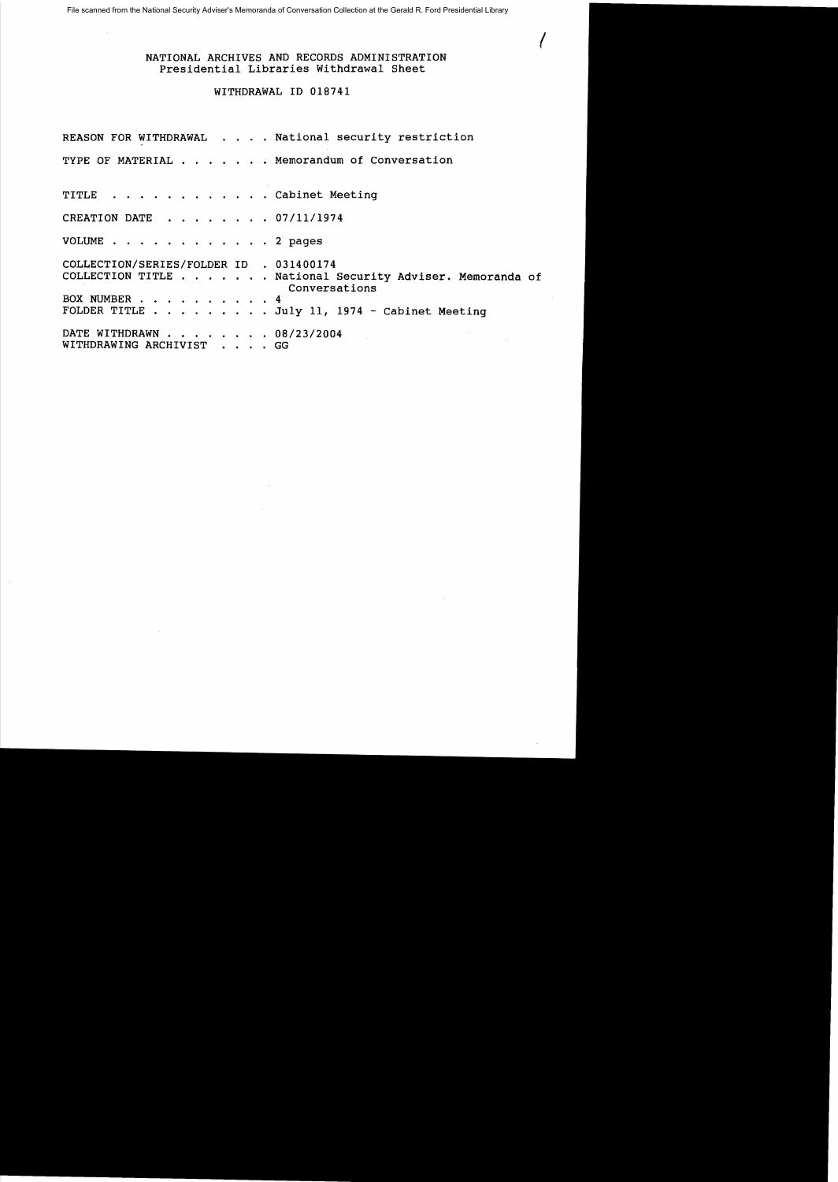## NATIONAL ARCHIVES AND RECORDS ADMINISTRATION Presidential Libraries Withdrawal Sheet

 $\ell_{\parallel}$ 

## WITHDRAWAL ID 018741

REASON FOR WITHDRAWAL . . . . National security restriction TYPE OF MATERIAL . . . . . . Memorandum of Conversation TITLE . . . . . . . . . . . Cabinet Meeting CREATION DATE . . . . . . . 07/11/1974 VOLUME . . . . . . . . . . . . 2 pages COLLECTION/SERIES/FOLDER ID . 031400174 COLLECTION TITLE . . . . • . . National Security Adviser. Memoranda of Conversations BOX NUMBER . . . . . . . . . 4 FOLDER TITLE  $\ldots$  . . . . . July 11, 1974 - Cabinet Meeting DATE WITHDRAWN . . . . . . . 08/23/2004 WITHDRAWING ARCHIVIST . . . . GG